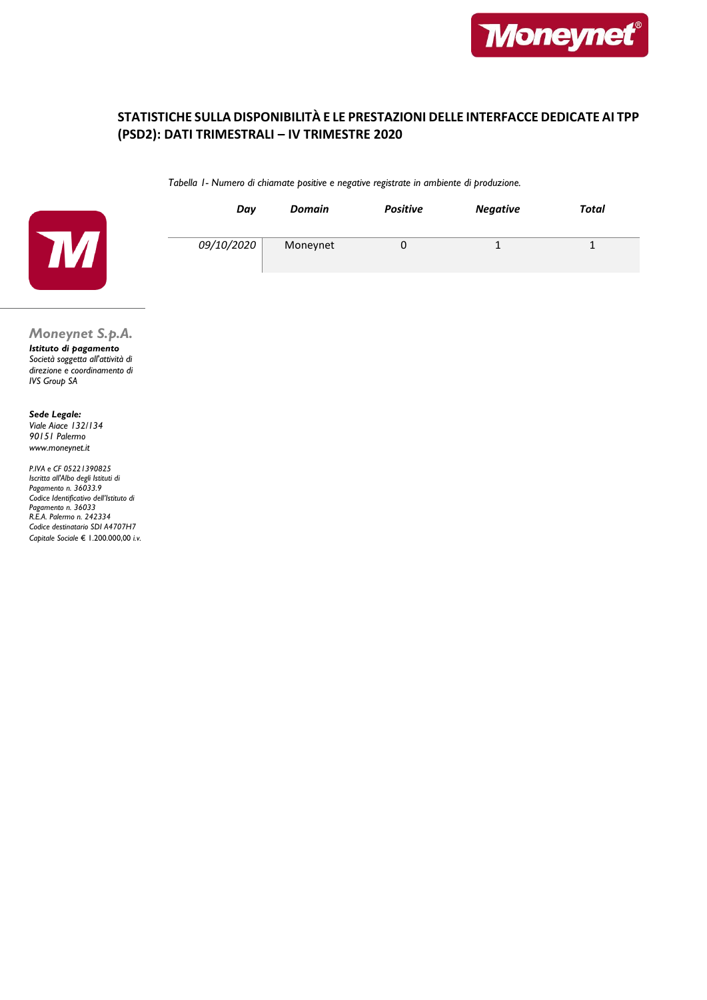

# **STATISTICHE SULLA DISPONIBILITÀ E LE PRESTAZIONI DELLE INTERFACCE DEDICATE AI TPP (PSD2): DATI TRIMESTRALI – IV TRIMESTRE 2020**

*Tabella 1- Numero di chiamate positive e negative registrate in ambiente di produzione.*



| Day        | <b>Domain</b> | <b>Positive</b> | <b>Negative</b> | Total |
|------------|---------------|-----------------|-----------------|-------|
| 09/10/2020 | Moneynet      |                 |                 |       |

## *Moneynet S.p.A.*

*Istituto di pagamento Società soggetta all'attività di direzione e coordinamento di IVS Group SA*

*Sede Legale: Viale Aiace 132/134 90151 Palermo www.moneynet.it*

*P.IVA e CF 05221390825 Iscritta all'Albo degli Istituti di Pagamento n. 36033.9 Codice Identificativo dell'Istituto di Pagamento n. 36033 R.E.A. Palermo n. 242334 Codice destinatario SDI A4707H7 Capitale Sociale* € 1.200.000,00 *i.v.*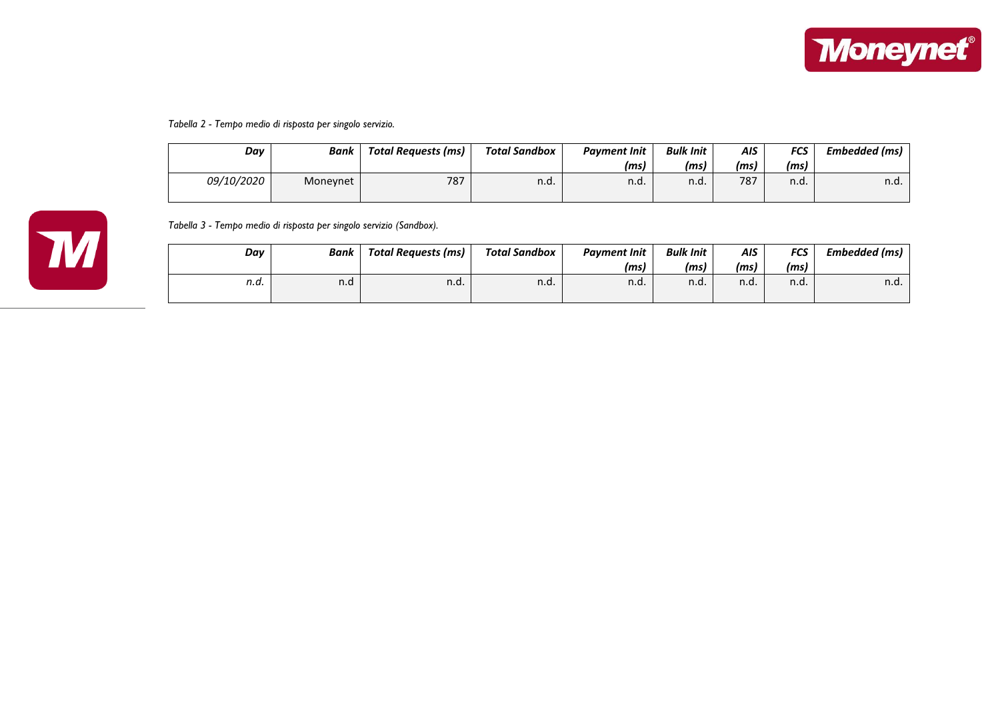

#### *Tabella 2 - Tempo medio di risposta per singolo servizio.*

| Day        | Bank     | Total Requests (ms) | Total Sandbox | <b>Payment Init</b> | <b>Bulk Init</b> | AIS | <b>FCS</b> | Embedded (ms) |
|------------|----------|---------------------|---------------|---------------------|------------------|-----|------------|---------------|
|            |          |                     |               | (ms)                | (ms)             | (ms | (ms)       |               |
| 09/10/2020 | Monevnet | 787                 | n.d.          | n.d.                | n.d.             | 787 | n.d.       | n.d.          |



*Tabella 3 - Tempo medio di risposta per singolo servizio (Sandbox).*

| Day  | Bank | Total Requests (ms) | Total Sandbox | <b>Payment Init</b> | <b>Bulk Init</b> | <b>AIS</b> | <b>FCS</b> | Embedded (ms) |
|------|------|---------------------|---------------|---------------------|------------------|------------|------------|---------------|
|      |      |                     |               | (ms)                | (ms)             | (ms)       | (ms)       |               |
| n.d. | n.d  | n.d.                | n.d.          | n.d.                | n.d.             | n.d.       | n.d.       | n.d.          |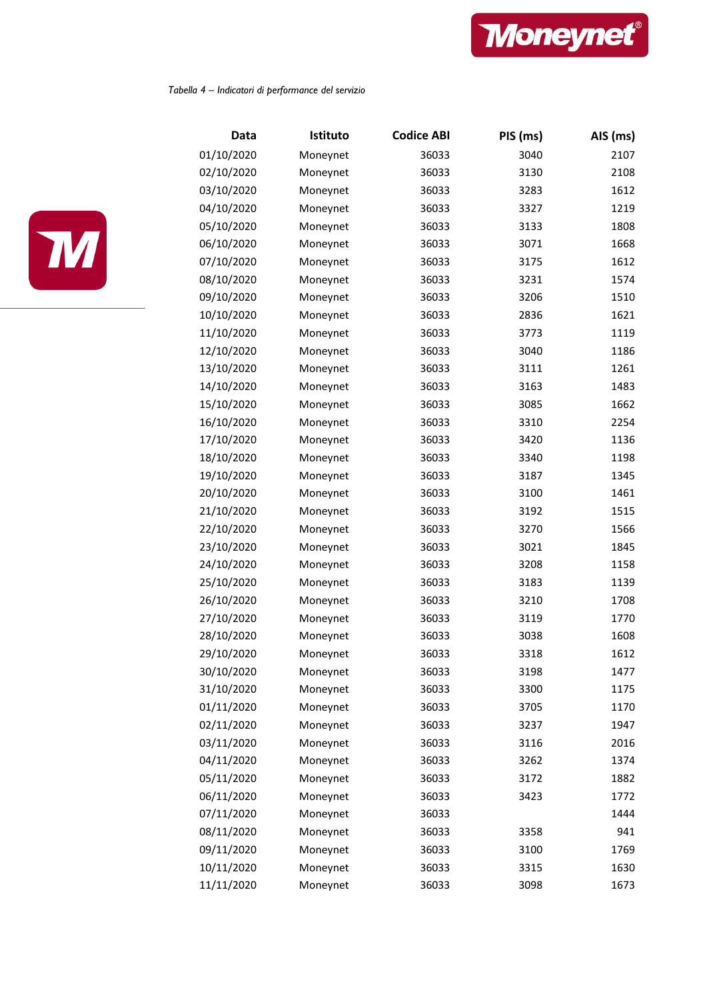

### *Tabella 4 – Indicatori di performance del servizio*



| Data       | Istituto | <b>Codice ABI</b> | PIS (ms) | AIS (ms) |
|------------|----------|-------------------|----------|----------|
| 01/10/2020 | Moneynet | 36033             | 3040     | 2107     |
| 02/10/2020 | Moneynet | 36033             | 3130     | 2108     |
| 03/10/2020 | Moneynet | 36033             | 3283     | 1612     |
| 04/10/2020 | Moneynet | 36033             | 3327     | 1219     |
| 05/10/2020 | Moneynet | 36033             | 3133     | 1808     |
| 06/10/2020 | Moneynet | 36033             | 3071     | 1668     |
| 07/10/2020 | Moneynet | 36033             | 3175     | 1612     |
| 08/10/2020 | Moneynet | 36033             | 3231     | 1574     |
| 09/10/2020 | Moneynet | 36033             | 3206     | 1510     |
| 10/10/2020 | Moneynet | 36033             | 2836     | 1621     |
| 11/10/2020 | Moneynet | 36033             | 3773     | 1119     |
| 12/10/2020 | Moneynet | 36033             | 3040     | 1186     |
| 13/10/2020 | Moneynet | 36033             | 3111     | 1261     |
| 14/10/2020 | Moneynet | 36033             | 3163     | 1483     |
| 15/10/2020 | Moneynet | 36033             | 3085     | 1662     |
| 16/10/2020 | Moneynet | 36033             | 3310     | 2254     |
| 17/10/2020 | Moneynet | 36033             | 3420     | 1136     |
| 18/10/2020 | Moneynet | 36033             | 3340     | 1198     |
| 19/10/2020 | Moneynet | 36033             | 3187     | 1345     |
| 20/10/2020 | Moneynet | 36033             | 3100     | 1461     |
| 21/10/2020 | Moneynet | 36033             | 3192     | 1515     |
| 22/10/2020 | Moneynet | 36033             | 3270     | 1566     |
| 23/10/2020 | Moneynet | 36033             | 3021     | 1845     |
| 24/10/2020 | Moneynet | 36033             | 3208     | 1158     |
| 25/10/2020 | Moneynet | 36033             | 3183     | 1139     |
| 26/10/2020 | Moneynet | 36033             | 3210     | 1708     |
| 27/10/2020 | Moneynet | 36033             | 3119     | 1770     |
| 28/10/2020 | Moneynet | 36033             | 3038     | 1608     |
| 29/10/2020 | Moneynet | 36033             | 3318     | 1612     |
| 30/10/2020 | Moneynet | 36033             | 3198     | 1477     |
| 31/10/2020 | Moneynet | 36033             | 3300     | 1175     |
| 01/11/2020 | Moneynet | 36033             | 3705     | 1170     |
| 02/11/2020 | Moneynet | 36033             | 3237     | 1947     |
| 03/11/2020 | Moneynet | 36033             | 3116     | 2016     |
| 04/11/2020 | Moneynet | 36033             | 3262     | 1374     |
| 05/11/2020 | Moneynet | 36033             | 3172     | 1882     |
| 06/11/2020 | Moneynet | 36033             | 3423     | 1772     |
| 07/11/2020 | Moneynet | 36033             |          | 1444     |
| 08/11/2020 | Moneynet | 36033             | 3358     | 941      |
| 09/11/2020 | Moneynet | 36033             | 3100     | 1769     |
| 10/11/2020 | Moneynet | 36033             | 3315     | 1630     |
| 11/11/2020 | Moneynet | 36033             | 3098     | 1673     |
|            |          |                   |          |          |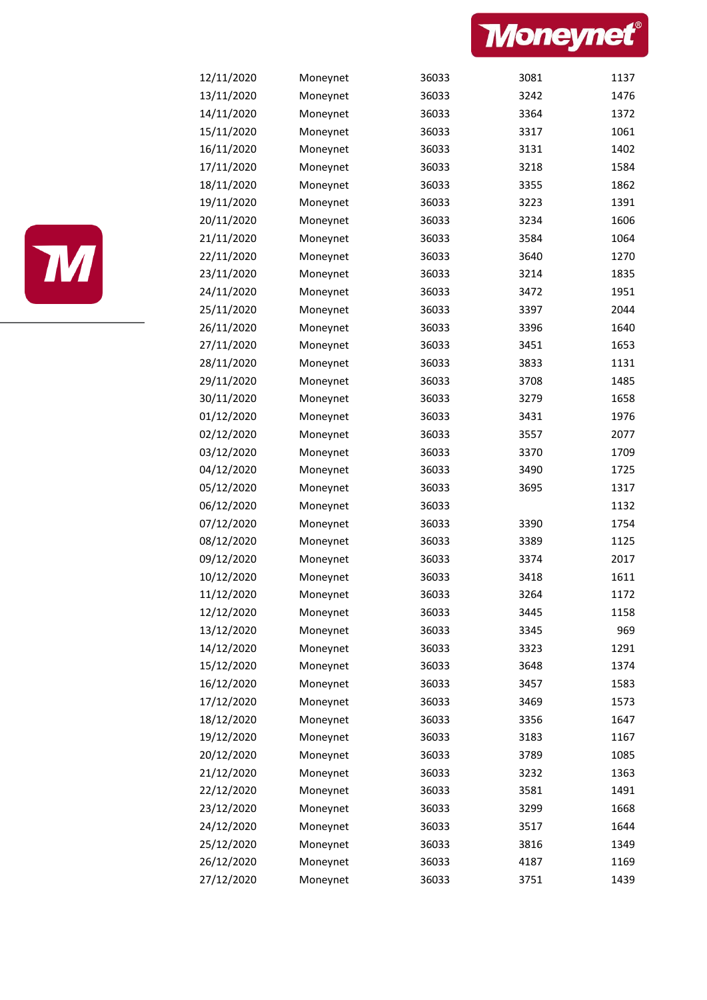



| 12/11/2020 | Moneynet | 36033 | 3081 | 1137 |
|------------|----------|-------|------|------|
| 13/11/2020 | Moneynet | 36033 | 3242 | 1476 |
| 14/11/2020 | Moneynet | 36033 | 3364 | 1372 |
| 15/11/2020 | Moneynet | 36033 | 3317 | 1061 |
| 16/11/2020 | Moneynet | 36033 | 3131 | 1402 |
| 17/11/2020 | Moneynet | 36033 | 3218 | 1584 |
| 18/11/2020 | Moneynet | 36033 | 3355 | 1862 |
| 19/11/2020 | Moneynet | 36033 | 3223 | 1391 |
| 20/11/2020 | Moneynet | 36033 | 3234 | 1606 |
| 21/11/2020 | Moneynet | 36033 | 3584 | 1064 |
| 22/11/2020 | Moneynet | 36033 | 3640 | 1270 |
| 23/11/2020 | Moneynet | 36033 | 3214 | 1835 |
| 24/11/2020 | Moneynet | 36033 | 3472 | 1951 |
| 25/11/2020 | Moneynet | 36033 | 3397 | 2044 |
| 26/11/2020 | Moneynet | 36033 | 3396 | 1640 |
| 27/11/2020 | Moneynet | 36033 | 3451 | 1653 |
| 28/11/2020 | Moneynet | 36033 | 3833 | 1131 |
| 29/11/2020 | Moneynet | 36033 | 3708 | 1485 |
| 30/11/2020 | Moneynet | 36033 | 3279 | 1658 |
| 01/12/2020 | Moneynet | 36033 | 3431 | 1976 |
| 02/12/2020 | Moneynet | 36033 | 3557 | 2077 |
| 03/12/2020 | Moneynet | 36033 | 3370 | 1709 |
| 04/12/2020 | Moneynet | 36033 | 3490 | 1725 |
| 05/12/2020 | Moneynet | 36033 | 3695 | 1317 |
| 06/12/2020 | Moneynet | 36033 |      | 1132 |
| 07/12/2020 | Moneynet | 36033 | 3390 | 1754 |
| 08/12/2020 | Moneynet | 36033 | 3389 | 1125 |
| 09/12/2020 | Moneynet | 36033 | 3374 | 2017 |
| 10/12/2020 | Moneynet | 36033 | 3418 | 1611 |
| 11/12/2020 | Moneynet | 36033 | 3264 | 1172 |
| 12/12/2020 | Moneynet | 36033 | 3445 | 1158 |
| 13/12/2020 | Moneynet | 36033 | 3345 | 969  |
| 14/12/2020 | Moneynet | 36033 | 3323 | 1291 |
| 15/12/2020 | Moneynet | 36033 | 3648 | 1374 |
| 16/12/2020 | Moneynet | 36033 | 3457 | 1583 |
| 17/12/2020 | Moneynet | 36033 | 3469 | 1573 |
| 18/12/2020 | Moneynet | 36033 | 3356 | 1647 |
| 19/12/2020 | Moneynet | 36033 | 3183 | 1167 |
| 20/12/2020 | Moneynet | 36033 | 3789 | 1085 |
| 21/12/2020 | Moneynet | 36033 | 3232 | 1363 |
| 22/12/2020 | Moneynet | 36033 | 3581 | 1491 |
| 23/12/2020 | Moneynet | 36033 | 3299 | 1668 |
| 24/12/2020 | Moneynet | 36033 | 3517 | 1644 |
| 25/12/2020 | Moneynet | 36033 | 3816 | 1349 |
| 26/12/2020 | Moneynet | 36033 | 4187 | 1169 |
| 27/12/2020 | Moneynet | 36033 | 3751 | 1439 |
|            |          |       |      |      |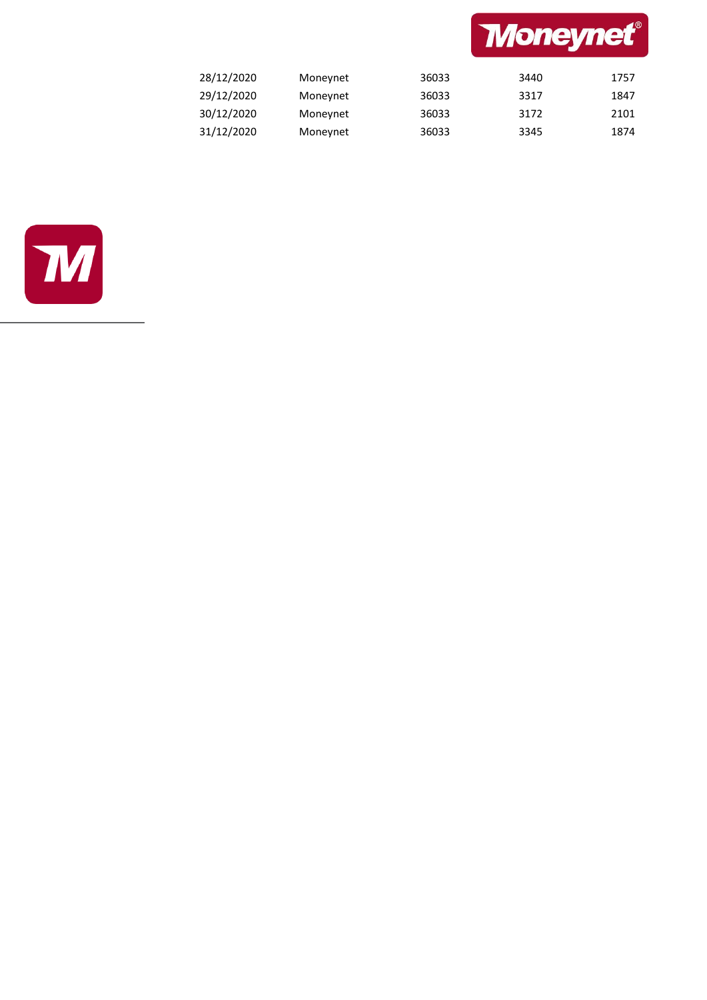

| 28/12/2020 | Moneynet | 36033 | 3440 | 1757 |
|------------|----------|-------|------|------|
| 29/12/2020 | Moneynet | 36033 | 3317 | 1847 |
| 30/12/2020 | Moneynet | 36033 | 3172 | 2101 |
| 31/12/2020 | Moneynet | 36033 | 3345 | 1874 |

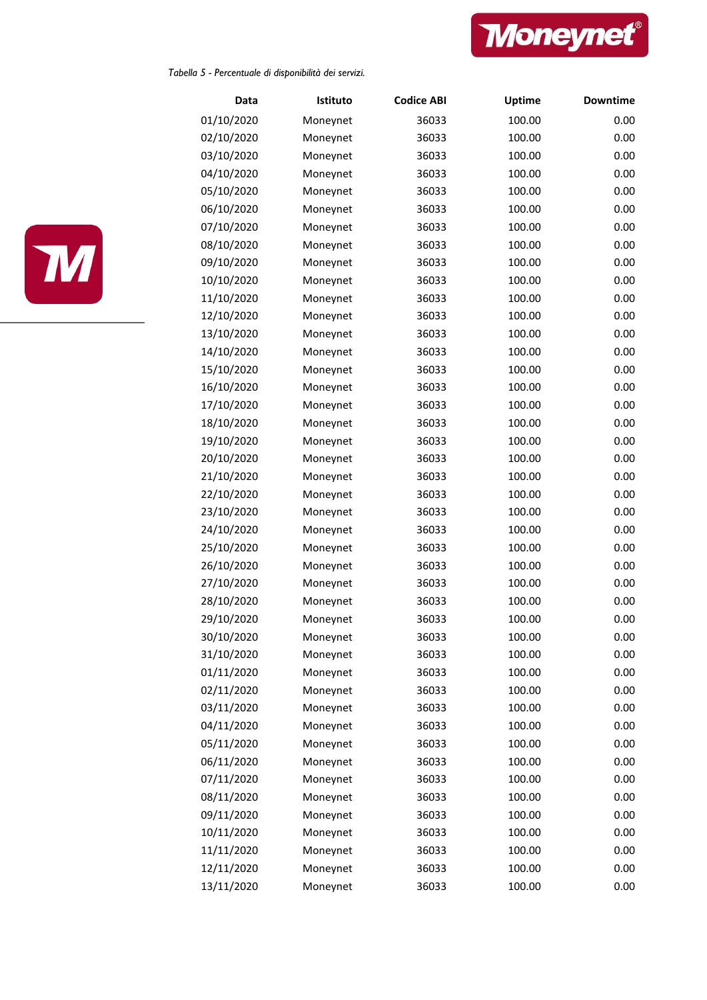

*Tabella 5 - Percentuale di disponibilità dei servizi.*



| Data       | Istituto | <b>Codice ABI</b> | <b>Uptime</b> | <b>Downtime</b> |
|------------|----------|-------------------|---------------|-----------------|
| 01/10/2020 | Moneynet | 36033             | 100.00        | 0.00            |
| 02/10/2020 | Moneynet | 36033             | 100.00        | 0.00            |
| 03/10/2020 | Moneynet | 36033             | 100.00        | 0.00            |
| 04/10/2020 | Moneynet | 36033             | 100.00        | 0.00            |
| 05/10/2020 | Moneynet | 36033             | 100.00        | 0.00            |
| 06/10/2020 | Moneynet | 36033             | 100.00        | 0.00            |
| 07/10/2020 | Moneynet | 36033             | 100.00        | 0.00            |
| 08/10/2020 | Moneynet | 36033             | 100.00        | 0.00            |
| 09/10/2020 | Moneynet | 36033             | 100.00        | 0.00            |
| 10/10/2020 | Moneynet | 36033             | 100.00        | 0.00            |
| 11/10/2020 | Moneynet | 36033             | 100.00        | 0.00            |
| 12/10/2020 | Moneynet | 36033             | 100.00        | 0.00            |
| 13/10/2020 | Moneynet | 36033             | 100.00        | 0.00            |
| 14/10/2020 | Moneynet | 36033             | 100.00        | 0.00            |
| 15/10/2020 | Moneynet | 36033             | 100.00        | 0.00            |
| 16/10/2020 | Moneynet | 36033             | 100.00        | 0.00            |
| 17/10/2020 | Moneynet | 36033             | 100.00        | 0.00            |
| 18/10/2020 | Moneynet | 36033             | 100.00        | 0.00            |
| 19/10/2020 | Moneynet | 36033             | 100.00        | 0.00            |
| 20/10/2020 | Moneynet | 36033             | 100.00        | 0.00            |
| 21/10/2020 | Moneynet | 36033             | 100.00        | 0.00            |
| 22/10/2020 | Moneynet | 36033             | 100.00        | 0.00            |
| 23/10/2020 | Moneynet | 36033             | 100.00        | 0.00            |
| 24/10/2020 | Moneynet | 36033             | 100.00        | 0.00            |
| 25/10/2020 | Moneynet | 36033             | 100.00        | 0.00            |
| 26/10/2020 | Moneynet | 36033             | 100.00        | 0.00            |
| 27/10/2020 | Moneynet | 36033             | 100.00        | 0.00            |
| 28/10/2020 | Moneynet | 36033             | 100.00        | 0.00            |
| 29/10/2020 | Moneynet | 36033             | 100.00        | 0.00            |
| 30/10/2020 | Moneynet | 36033             | 100.00        | 0.00            |
| 31/10/2020 | Moneynet | 36033             | 100.00        | 0.00            |
| 01/11/2020 | Moneynet | 36033             | 100.00        | 0.00            |
| 02/11/2020 | Moneynet | 36033             | 100.00        | 0.00            |
| 03/11/2020 | Moneynet | 36033             | 100.00        | 0.00            |
| 04/11/2020 | Moneynet | 36033             | 100.00        | 0.00            |
| 05/11/2020 | Moneynet | 36033             | 100.00        | 0.00            |
| 06/11/2020 | Moneynet | 36033             | 100.00        | 0.00            |
| 07/11/2020 | Moneynet | 36033             | 100.00        | 0.00            |
| 08/11/2020 | Moneynet | 36033             | 100.00        | 0.00            |
| 09/11/2020 | Moneynet | 36033             | 100.00        | 0.00            |
| 10/11/2020 | Moneynet | 36033             | 100.00        | 0.00            |
| 11/11/2020 | Moneynet | 36033             | 100.00        | 0.00            |
| 12/11/2020 | Moneynet | 36033             | 100.00        | 0.00            |
| 13/11/2020 | Moneynet | 36033             | 100.00        | 0.00            |
|            |          |                   |               |                 |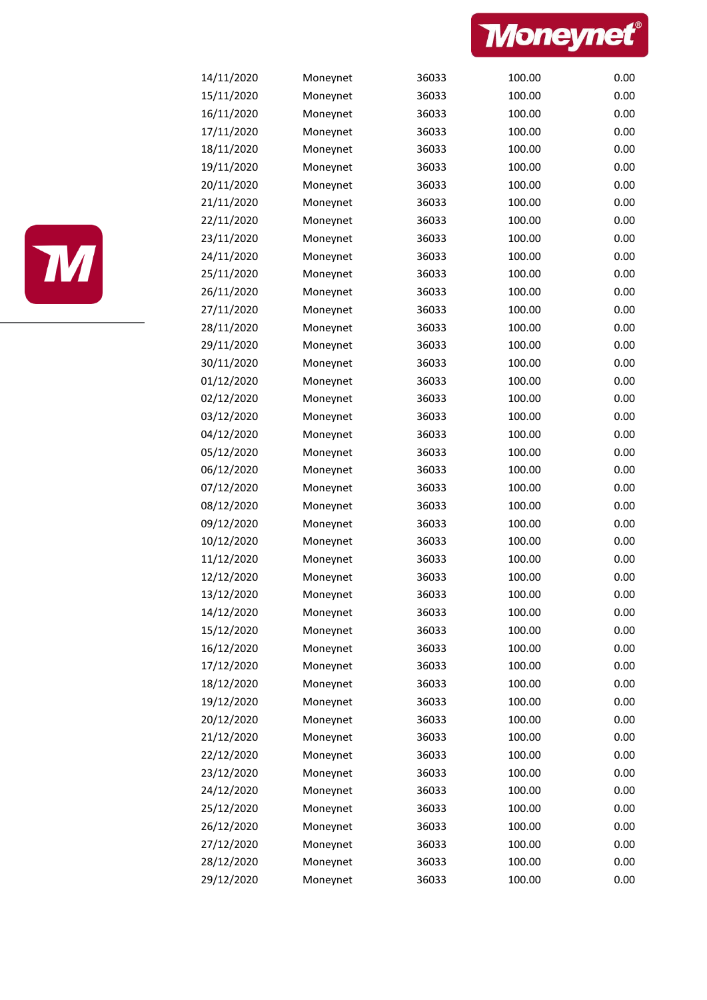



| 14/11/2020 | Moneynet | 36033 | 100.00 | 0.00 |
|------------|----------|-------|--------|------|
| 15/11/2020 | Moneynet | 36033 | 100.00 | 0.00 |
| 16/11/2020 | Moneynet | 36033 | 100.00 | 0.00 |
| 17/11/2020 | Moneynet | 36033 | 100.00 | 0.00 |
| 18/11/2020 | Moneynet | 36033 | 100.00 | 0.00 |
| 19/11/2020 | Moneynet | 36033 | 100.00 | 0.00 |
| 20/11/2020 | Moneynet | 36033 | 100.00 | 0.00 |
| 21/11/2020 | Moneynet | 36033 | 100.00 | 0.00 |
| 22/11/2020 | Moneynet | 36033 | 100.00 | 0.00 |
| 23/11/2020 | Moneynet | 36033 | 100.00 | 0.00 |
| 24/11/2020 | Moneynet | 36033 | 100.00 | 0.00 |
| 25/11/2020 | Moneynet | 36033 | 100.00 | 0.00 |
| 26/11/2020 | Moneynet | 36033 | 100.00 | 0.00 |
| 27/11/2020 | Moneynet | 36033 | 100.00 | 0.00 |
| 28/11/2020 | Moneynet | 36033 | 100.00 | 0.00 |
| 29/11/2020 | Moneynet | 36033 | 100.00 | 0.00 |
| 30/11/2020 | Moneynet | 36033 | 100.00 | 0.00 |
| 01/12/2020 | Moneynet | 36033 | 100.00 | 0.00 |
| 02/12/2020 | Moneynet | 36033 | 100.00 | 0.00 |
| 03/12/2020 | Moneynet | 36033 | 100.00 | 0.00 |
| 04/12/2020 | Moneynet | 36033 | 100.00 | 0.00 |
| 05/12/2020 | Moneynet | 36033 | 100.00 | 0.00 |
| 06/12/2020 | Moneynet | 36033 | 100.00 | 0.00 |
| 07/12/2020 | Moneynet | 36033 | 100.00 | 0.00 |
| 08/12/2020 | Moneynet | 36033 | 100.00 | 0.00 |
| 09/12/2020 | Moneynet | 36033 | 100.00 | 0.00 |
| 10/12/2020 | Moneynet | 36033 | 100.00 | 0.00 |
| 11/12/2020 | Moneynet | 36033 | 100.00 | 0.00 |
| 12/12/2020 | Moneynet | 36033 | 100.00 | 0.00 |
| 13/12/2020 | Moneynet | 36033 | 100.00 | 0.00 |
| 14/12/2020 | Moneynet | 36033 | 100.00 | 0.00 |
| 15/12/2020 | Moneynet | 36033 | 100.00 | 0.00 |
| 16/12/2020 | Moneynet | 36033 | 100.00 | 0.00 |
| 17/12/2020 | Moneynet | 36033 | 100.00 | 0.00 |
| 18/12/2020 | Moneynet | 36033 | 100.00 | 0.00 |
| 19/12/2020 | Moneynet | 36033 | 100.00 | 0.00 |
| 20/12/2020 | Moneynet | 36033 | 100.00 | 0.00 |
| 21/12/2020 | Moneynet | 36033 | 100.00 | 0.00 |
| 22/12/2020 | Moneynet | 36033 | 100.00 | 0.00 |
| 23/12/2020 | Moneynet | 36033 | 100.00 | 0.00 |
| 24/12/2020 | Moneynet | 36033 | 100.00 | 0.00 |
| 25/12/2020 | Moneynet | 36033 | 100.00 | 0.00 |
| 26/12/2020 | Moneynet | 36033 | 100.00 | 0.00 |
| 27/12/2020 | Moneynet | 36033 | 100.00 | 0.00 |
| 28/12/2020 | Moneynet | 36033 | 100.00 | 0.00 |
| 29/12/2020 | Moneynet | 36033 | 100.00 | 0.00 |
|            |          |       |        |      |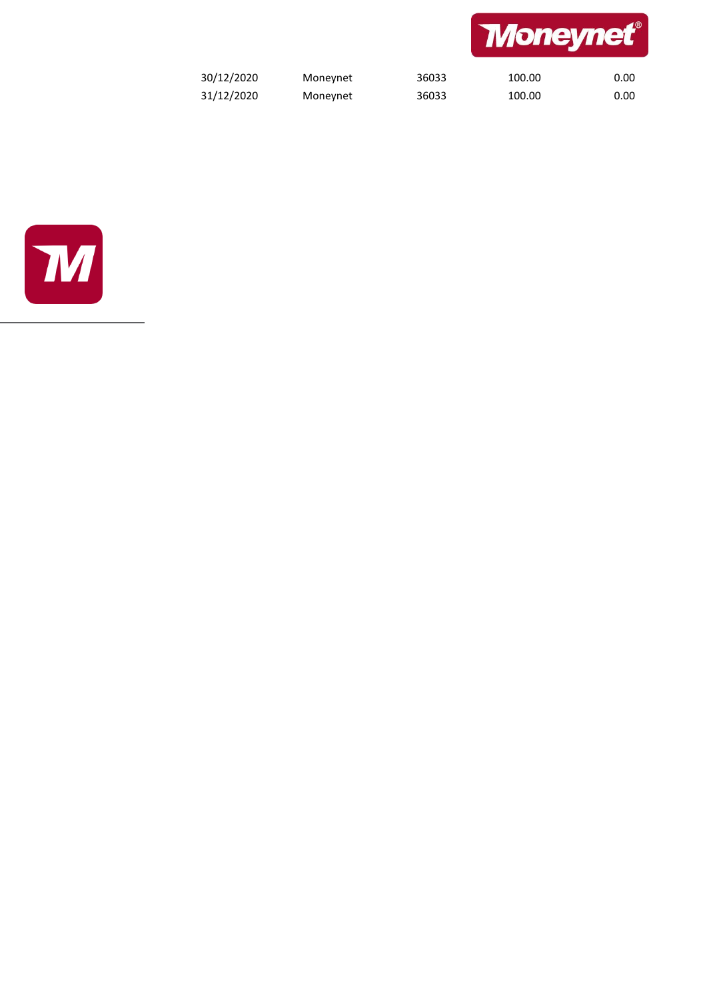

| 30/12/2020 | Moneynet | 36033 | 100.00 | 0.00 |
|------------|----------|-------|--------|------|
| 31/12/2020 | Moneynet | 36033 | 100.00 | 0.00 |